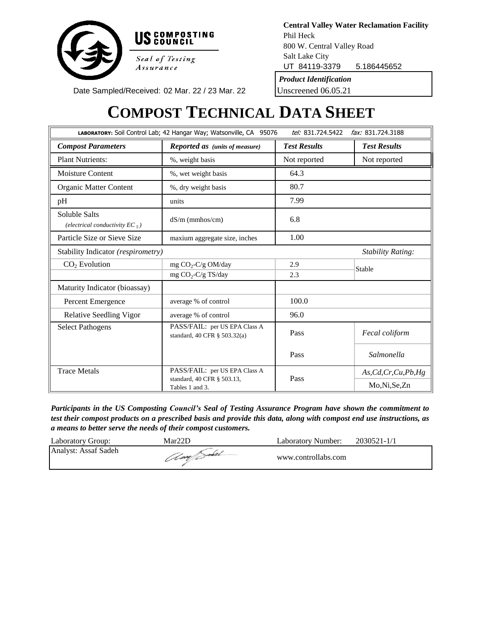

Salt Lake City UT 84119-3379 5.186445652 *Product Identification* 800 W. Central Valley Road **Central Valley Water Reclamation Facility** Phil Heck

Unscreened 06.05.21

Date Sampled/Received: 02 Mar. 22 / 23 Mar. 22

# **COMPOST TECHNICAL DATA SHEET**

| LABORATORY: Soil Control Lab; 42 Hangar Way; Watsonville, CA 95076 | tel: 831.724.5422                                             | fax: 831.724.3188   |                          |
|--------------------------------------------------------------------|---------------------------------------------------------------|---------------------|--------------------------|
| <b>Compost Parameters</b>                                          | <b>Reported as (units of measure)</b>                         | <b>Test Results</b> | <b>Test Results</b>      |
| <b>Plant Nutrients:</b>                                            | %, weight basis                                               | Not reported        | Not reported             |
| <b>Moisture Content</b>                                            | %, wet weight basis                                           | 64.3                |                          |
| Organic Matter Content                                             | %, dry weight basis                                           | 80.7                |                          |
| pH                                                                 | units                                                         | 7.99                |                          |
| Soluble Salts<br>(electrical conductivity $EC_5$ )                 | $dS/m$ (mmhos/cm)                                             | 6.8                 |                          |
| Particle Size or Sieve Size                                        | maxium aggregate size, inches                                 | 1.00                |                          |
| Stability Indicator (respirometry)                                 |                                                               |                     | <b>Stability Rating:</b> |
| $CO2$ Evolution                                                    | mg $CO_2$ -C/g OM/day                                         | 2.9                 | Stable                   |
|                                                                    | mg $CO_2$ -C/g TS/day                                         | 2.3                 |                          |
| Maturity Indicator (bioassay)                                      |                                                               |                     |                          |
| Percent Emergence                                                  | average % of control                                          | 100.0               |                          |
| Relative Seedling Vigor                                            | average % of control                                          | 96.0                |                          |
| <b>Select Pathogens</b>                                            | PASS/FAIL: per US EPA Class A<br>standard, 40 CFR § 503.32(a) | Pass                | Fecal coliform           |
|                                                                    |                                                               | Pass                | Salmonella               |
| <b>Trace Metals</b>                                                | PASS/FAIL: per US EPA Class A                                 |                     | As, Cd, Cr, Cu, Pb, Hg   |
|                                                                    | standard, 40 CFR § 503.13,<br>Tables 1 and 3.                 | Pass                | Mo,Ni,Se,Zn              |

*Participants in the US Composting Council's Seal of Testing Assurance Program have shown the commitment to* test their compost products on a prescribed basis and provide this data, along with compost end use instructions, as *a means to better serve the needs of their compost customers.*

| Laboratory Group:    | Mar22D      | Laboratory Number:  | 2030521-1/1 |
|----------------------|-------------|---------------------|-------------|
| Analyst: Assaf Sadeh | 1 lag Sales | www.controllabs.com |             |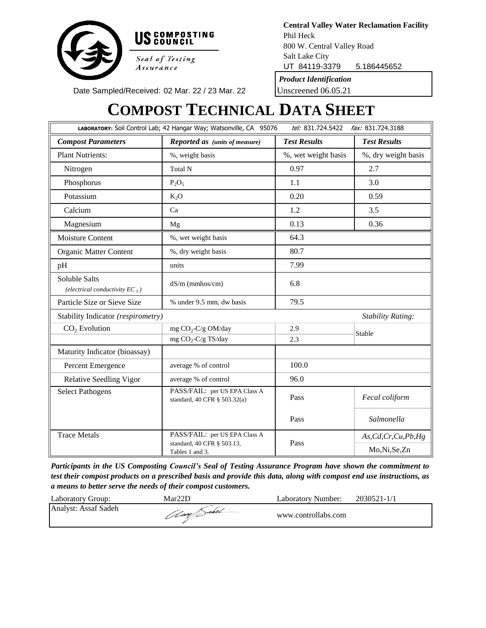

Salt Lake City UT 84119-3379 5.186445652 800 W. Central Valley Road **Central Valley Water Reclamation Facility** Phil Heck

*Product Identification*

Unscreened 06.05.21

Date Sampled/Received: 02 Mar. 22 / 23 Mar. 22

# **COMPOST TECHNICAL DATA SHEET**

|                                                    | LABORATORY: Soil Control Lab; 42 Hangar Way; Watsonville, CA 95076 | tel: 831.724.5422<br>fax: 831.724.3188 |                          |  |
|----------------------------------------------------|--------------------------------------------------------------------|----------------------------------------|--------------------------|--|
| <b>Compost Parameters</b>                          | <b>Reported as</b> (units of measure)                              | <b>Test Results</b>                    | <b>Test Results</b>      |  |
| <b>Plant Nutrients:</b>                            | %, weight basis                                                    | %, wet weight basis                    | %, dry weight basis      |  |
| Nitrogen                                           | Total N                                                            | 0.97                                   | 2.7                      |  |
| Phosphorus                                         | $P_2O_5$                                                           | 1.1                                    | 3.0                      |  |
| Potassium                                          | K <sub>2</sub> O                                                   | 0.20                                   | 0.59                     |  |
| Calcium                                            | Ca                                                                 | 1.2                                    | 3.5                      |  |
| Magnesium                                          | Mg                                                                 | 0.13                                   | 0.36                     |  |
| <b>Moisture Content</b>                            | %, wet weight basis                                                | 64.3                                   |                          |  |
| Organic Matter Content                             | %, dry weight basis                                                | 80.7                                   |                          |  |
| pH                                                 | units                                                              | 7.99                                   |                          |  |
| Soluble Salts<br>(electrical conductivity $EC_5$ ) | $dS/m$ (mmhos/cm)                                                  | 6.8<br>79.5                            |                          |  |
| Particle Size or Sieve Size                        | % under 9.5 mm, dw basis                                           |                                        |                          |  |
| Stability Indicator (respirometry)                 |                                                                    |                                        | <b>Stability Rating:</b> |  |
| $CO2$ Evolution                                    | mg CO <sub>2</sub> -C/g OM/day                                     | 2.9                                    | Stable                   |  |
|                                                    | mg CO <sub>2</sub> -C/g TS/day                                     | 2.3                                    |                          |  |
| Maturity Indicator (bioassay)                      |                                                                    |                                        |                          |  |
| Percent Emergence                                  | average % of control                                               | 100.0                                  |                          |  |
| <b>Relative Seedling Vigor</b>                     | average % of control                                               | 96.0                                   |                          |  |
| <b>Select Pathogens</b>                            | PASS/FAIL: per US EPA Class A<br>standard, 40 CFR § 503.32(a)      | Pass                                   | Fecal coliform           |  |
|                                                    |                                                                    | Pass                                   | Salmonella               |  |
| <b>Trace Metals</b>                                | PASS/FAIL: per US EPA Class A                                      | Pass                                   | As, Cd, Cr, Cu, Pb, Hg   |  |
|                                                    | standard, 40 CFR § 503.13,<br>Tables 1 and 3.                      |                                        | Mo, Ni, Se, Zn           |  |

*Participants in the US Composting Council's Seal of Testing Assurance Program have shown the commitment to* test their compost products on a prescribed basis and provide this data, along with compost end use instructions, as *a means to better serve the needs of their compost customers.*

| Laboratory Group:    | $Mar22\Gamma$ | Laboratory Number:  | 2030521-1/1 |
|----------------------|---------------|---------------------|-------------|
| Analyst: Assaf Sadeh | (lag) and     | www.controllabs.com |             |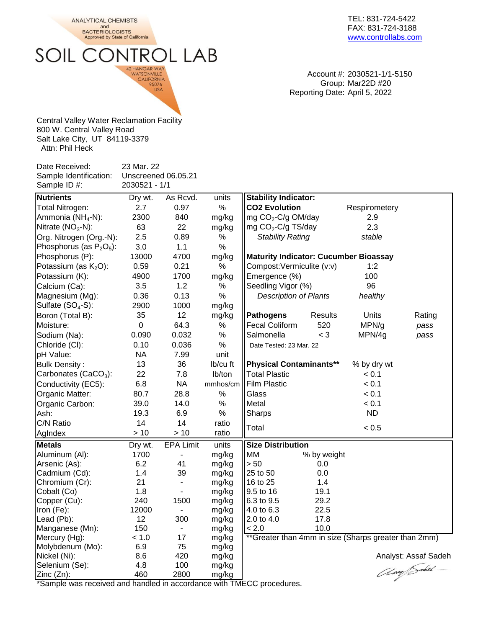**ANALYTICAL CHEMISTS** and<br>BACTERIOLOGISTS<br>Approved by State of California

SOIL CONTROL LAB

42 HANGAR WAY<br>WATSONVILLE<br>CALIFORNIA<br>95076<br>USA

TEL: 831-724-5422 FAX: 831-724-3188 [www.controllabs.com](http://www.compostlab.com/)

Account #: 2030521-1/1-5150 Group: Mar22D #20 Reporting Date: April 5, 2022

Central Valley Water Reclamation Facility 800 W. Central Valley Road Salt Lake City, UT 84119-3379 Attn: Phil Heck

| Date Received:<br>Sample Identification: | 23 Mar. 22    | Unscreened 06.05.21      |                |                                              |                |                                                      |                      |
|------------------------------------------|---------------|--------------------------|----------------|----------------------------------------------|----------------|------------------------------------------------------|----------------------|
| Sample ID#:                              | 2030521 - 1/1 |                          |                |                                              |                |                                                      |                      |
| <b>Nutrients</b>                         | Dry wt.       | As Rcvd.                 | units          | <b>Stability Indicator:</b>                  |                |                                                      |                      |
| Total Nitrogen:                          | 2.7           | 0.97                     | $\%$           | <b>CO2 Evolution</b>                         |                | Respirometery                                        |                      |
| Ammonia (NH <sub>4</sub> -N):            | 2300          | 840                      | mg/kg          | mg CO <sub>2</sub> -C/g OM/day               |                | 2.9                                                  |                      |
| Nitrate $(NO3-N)$ :                      | 63            | 22                       | mg/kg          | mg CO <sub>2</sub> -C/g TS/day               |                | 2.3                                                  |                      |
| Org. Nitrogen (Org.-N):                  | 2.5           | 0.89                     | %              | <b>Stability Rating</b>                      |                | stable                                               |                      |
| Phosphorus (as $P_2O_5$ ):               | 3.0           | 1.1                      | $\%$           |                                              |                |                                                      |                      |
| Phosphorus (P):                          | 13000         | 4700                     | mg/kg          | <b>Maturity Indicator: Cucumber Bioassay</b> |                |                                                      |                      |
| Potassium (as $K_2O$ ):                  | 0.59          | 0.21                     | $\%$           | Compost: Vermiculite (v:v)                   |                | 1:2                                                  |                      |
| Potassium (K):                           | 4900          | 1700                     | mg/kg          | Emergence (%)                                |                | 100                                                  |                      |
| Calcium (Ca):                            | 3.5           | 1.2                      | %              | Seedling Vigor (%)                           |                | 96                                                   |                      |
| Magnesium (Mg):                          | 0.36          | 0.13                     | $\%$           | <b>Description of Plants</b>                 |                | healthy                                              |                      |
| Sulfate (SO <sub>4</sub> -S):            | 2900          | 1000                     | mg/kg          |                                              |                |                                                      |                      |
| Boron (Total B):                         | 35            | 12                       | mg/kg          | <b>Pathogens</b>                             | <b>Results</b> | Units                                                | Rating               |
| Moisture:                                | $\mathbf 0$   | 64.3                     | $\%$           | <b>Fecal Coliform</b>                        | 520            | MPN/g                                                | pass                 |
| Sodium (Na):                             | 0.090         | 0.032                    | $\%$           | Salmonella                                   | $<$ 3          | MPN/4g                                               | pass                 |
| Chloride (CI):                           | 0.10          | 0.036                    | $\%$           | Date Tested: 23 Mar. 22                      |                |                                                      |                      |
| pH Value:                                | <b>NA</b>     | 7.99                     | unit           |                                              |                |                                                      |                      |
| <b>Bulk Density:</b>                     | 13            | 36                       | Ib/cu ft       | <b>Physical Contaminants**</b>               |                | % by dry wt                                          |                      |
| Carbonates (CaCO <sub>3</sub> ):         | 22            | 7.8                      | lb/ton         | <b>Total Plastic</b>                         |                | < 0.1                                                |                      |
| Conductivity (EC5):                      | 6.8           | <b>NA</b>                | mmhos/cm       | <b>Film Plastic</b>                          |                | < 0.1                                                |                      |
| Organic Matter:                          | 80.7          | 28.8                     | $\%$           | Glass                                        |                | < 0.1                                                |                      |
| Organic Carbon:                          | 39.0          | 14.0                     | $\%$           | Metal                                        |                | < 0.1                                                |                      |
| Ash:                                     | 19.3          | 6.9                      | $\%$           | Sharps                                       |                | <b>ND</b>                                            |                      |
| C/N Ratio                                | 14            | 14                       | ratio          |                                              |                |                                                      |                      |
|                                          | >10           | >10                      | ratio          | Total                                        |                | < 0.5                                                |                      |
| AgIndex                                  |               |                          |                |                                              |                |                                                      |                      |
| <b>Metals</b>                            | Dry wt.       | <b>EPA Limit</b>         | units          | <b>Size Distribution</b>                     |                |                                                      |                      |
| Aluminum (Al):                           | 1700          | $\overline{\phantom{m}}$ | mg/kg          | МM                                           | % by weight    |                                                      |                      |
| Arsenic (As):                            | 6.2           | 41                       | mg/kg          | > 50                                         | 0.0            |                                                      |                      |
| Cadmium (Cd):                            | 1.4           | 39                       | mg/kg          | 25 to 50                                     | 0.0            |                                                      |                      |
| Chromium (Cr):                           | 21            |                          | mg/kg          | 16 to 25                                     | 1.4            |                                                      |                      |
| Cobalt (Co)                              | 1.8           |                          | mg/kg          | 9.5 to 16                                    | 19.1           |                                                      |                      |
| Copper (Cu):                             | 240<br>12000  | 1500                     | mg/kg          | 6.3 to 9.5<br>4.0 to 6.3                     | 29.2           |                                                      |                      |
| Iron (Fe):                               |               | ۰                        | mg/kg          |                                              | 22.5           |                                                      |                      |
| Lead (Pb):<br>Manganese (Mn):            | 12<br>150     | 300                      | mg/kg          | $ 2.0 \text{ to } 4.0$<br>< 2.0              | 17.8<br>10.0   |                                                      |                      |
| Mercury (Hg):                            | < 1.0         | 17                       | mg/kg<br>mg/kg |                                              |                | **Greater than 4mm in size (Sharps greater than 2mm) |                      |
| Molybdenum (Mo):                         | 6.9           | 75                       | mg/kg          |                                              |                |                                                      |                      |
| Nickel (Ni):                             | 8.6           | 420                      | mg/kg          |                                              |                |                                                      | Analyst: Assaf Sadeh |
| Selenium (Se):                           | 4.8           | 100                      | mg/kg          |                                              |                |                                                      |                      |
| Zinc (Zn):                               | 460           | 2800                     | mg/kg          |                                              |                |                                                      | Am Sabel             |
|                                          | امماامومط     |                          |                |                                              |                |                                                      |                      |

\*Sample was received and handled in accordance with TMECC procedures.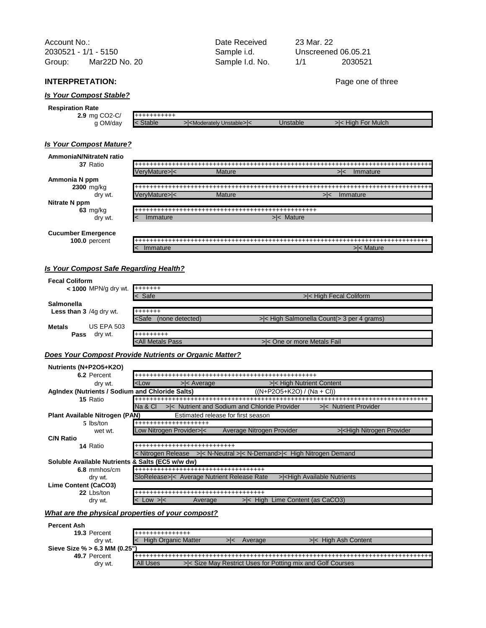| Account No.:         |               | Date Received   | 23 Mar. 22 |                     |  |
|----------------------|---------------|-----------------|------------|---------------------|--|
| 2030521 - 1/1 - 5150 |               | Sample i.d.     |            | Unscreened 06.05.21 |  |
| Group:               | Mar22D No. 20 | Sample I.d. No. | 1/1        | 2030521             |  |

### **INTERPRETATION:** Page one of three

### *Is Your Compost Stable?*

| <b>Respiration Rate</b>    |               |                                              |          |                   |
|----------------------------|---------------|----------------------------------------------|----------|-------------------|
| 2.9 mg CO <sub>2</sub> -C/ | +++++++++++   |                                              |          |                   |
| OM/day                     | <b>Stable</b> | > <moderately unstable=""> &lt;</moderately> | Jnstable | >< High For Mulch |

### *Is Your Compost Mature?*

| AmmoniaN/Nitrate            |  |  |
|-----------------------------|--|--|
|                             |  |  |
|                             |  |  |
| Ammonia N ppm<br>2300 mg/kg |  |  |
|                             |  |  |
|                             |  |  |
| Nitrate N ppm               |  |  |
|                             |  |  |
|                             |  |  |
|                             |  |  |
| <b>Cucumber Emerg</b>       |  |  |
| $100.0$ percent             |  |  |
|                             |  |  |

### *Is Your Compost Safe Regarding Health?*

| <b>Fecal Coliform</b>                |                                                                                |                                                  |
|--------------------------------------|--------------------------------------------------------------------------------|--------------------------------------------------|
| $\leq$ 1000 MPN/g dry wt. $+$ ++++++ |                                                                                |                                                  |
|                                      | $\leq$ Safe                                                                    | >< High Fecal Coliform                           |
| <b>Salmonella</b>                    |                                                                                |                                                  |
| Less than 3 /4g dry wt.              | +++++++                                                                        |                                                  |
|                                      | <safe<br>(none detected)</safe<br>                                             | $>\le$ High Salmonella Count( $>$ 3 per 4 grams) |
| US EPA 503<br><b>Metals</b>          |                                                                                |                                                  |
| Pass<br>dry wt.                      | +++++++++                                                                      |                                                  |
|                                      | <all metals="" pass<="" th=""><th>&gt; &lt; One or more Metals Fail</th></all> | > < One or more Metals Fail                      |

### *Does Your Compost Provide Nutrients or Organic Matter?*

| Nutrients (N+P2O5+K2O)                           |                                                                                                                                                                              |
|--------------------------------------------------|------------------------------------------------------------------------------------------------------------------------------------------------------------------------------|
| 6.2 Percent                                      |                                                                                                                                                                              |
| dry wt.                                          | $<$ Low<br>>< High Nutrient Content<br>$>\n<$ Average                                                                                                                        |
| AgIndex (Nutrients / Sodium and Chloride Salts)  | ((N+P2O5+K2O) / (Na + Cl))                                                                                                                                                   |
| 15 Ratio                                         |                                                                                                                                                                              |
|                                                  | Na & Cl<br>>< Nutrient and Sodium and Chloride Provider<br>>< Nutrient Provider                                                                                              |
| Plant Available Nitrogen (PAN)                   | Estimated release for first season                                                                                                                                           |
| 5 lbs/ton                                        | +++++++++++++++++++                                                                                                                                                          |
| wet wt.                                          | Low Nitrogen Provider> <<br>Average Nitrogen Provider<br>> <high nitrogen="" provider<="" th=""></high>                                                                      |
| <b>C/N Ratio</b>                                 |                                                                                                                                                                              |
| 14 Ratio                                         | +++++++++++++++++++++++++++                                                                                                                                                  |
|                                                  | > < N-Neutral > < N-Demand> < High Nitrogen Demand<br>< Nitrogen Release                                                                                                     |
| Soluble Available Nutrients & Salts (EC5 w/w dw) |                                                                                                                                                                              |
| 6.8 mmhos/cm                                     |                                                                                                                                                                              |
| dry wt.                                          | SloRelease> < Average Nutrient Release Rate<br>><br>l<br>l<br>l<br>l<br>l<br>l<br>l<br>l<br>l<br>l<br>l<br>l<br>l<br>l<br>l<br>l<br>l<br>l<br>l<br>l<br>l<br>l<br>l<br>l<br> |
| Lime Content (CaCO3)                             |                                                                                                                                                                              |
| 22 Lbs/ton                                       | ++++++++++++++++++++++++++++++++++++                                                                                                                                         |
| dry wt.                                          | > < High Lime Content (as CaCO3)<br>$ <$ Low $> <$<br>Average                                                                                                                |

### *What are the physical properties of your compost?*

| <b>Percent Ash</b>          |                        |  |
|-----------------------------|------------------------|--|
| 19.3 Percent                | <b>▋┽┽┿┿┿┿┿┿┿┿┿┿┿┿</b> |  |
| <b>CULTA</b>                |                        |  |
| Sieve Size % > 6.3 MM (0.25 |                        |  |
| 49.7 Percent                |                        |  |
| ary v.                      | " All Usu              |  |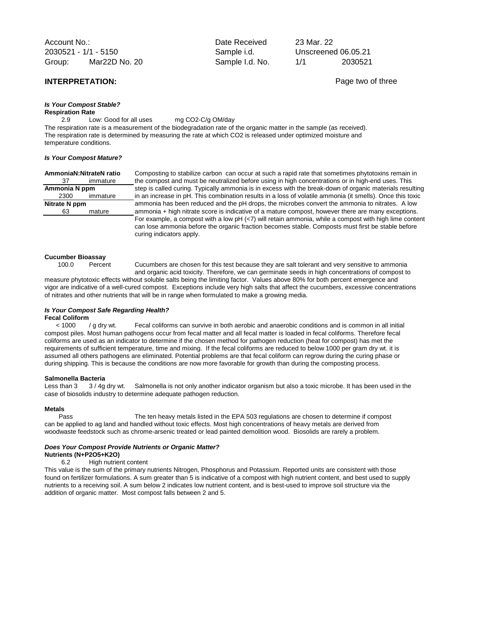Account No.: and Date Received 2030521 - 1/1 - 5150 Sample i.d. Group: Sample I.d. No. 1/1 2030521 Mar22D No. 20

### *Is Your Compost Stable?* **Respiration Rate**

2.9 Low: Good for all uses mg CO2-C/g OM/day

The respiration rate is a measurement of the biodegradation rate of the organic matter in the sample (as received). The respiration rate is determined by measuring the rate at which CO2 is released under optimized moisture and temperature conditions.

### *Is Your Compost Mature?*

| AmmoniaN:NitrateN ratio |          |    |  |
|-------------------------|----------|----|--|
| 37                      | immature | th |  |
| Ammonia N ppm           |          |    |  |
| 2300                    | immature | in |  |
| Nitrate N ppm           |          |    |  |
| 63<br>mature            |          |    |  |
|                         |          |    |  |

omposting to stabilize carbon can occur at such a rapid rate that sometimes phytotoxins remain in e compost and must be neutralized before using in high concentrations or in high-end uses. This ep is called curing. Typically ammonia is in excess with the break-down of organic materials resulting an increase in pH. This combination results in a loss of volatile ammonia (it smells). Once this toxic hitrate has been reduced and the pH drops, the microbes convert the ammonia to nitrates. A low nmonia + high nitrate score is indicative of a mature compost, however there are many exceptions. For example, a compost with a low pH (<7) will retain ammonia, while a compost with high lime content can lose ammonia before the organic fraction becomes stable. Composts must first be stable before curing indicators apply.

### **Cucumber Bioassay**

100.0 Percent Cucumbers are chosen for this test because they are salt tolerant and very sensitive to ammonia

and organic acid toxicity. Therefore, we can germinate seeds in high concentrations of compost to measure phytotoxic effects without soluble salts being the limiting factor. Values above 80% for both percent emergence and vigor are indicative of a well-cured compost. Exceptions include very high salts that affect the cucumbers, excessive concentrations of nitrates and other nutrients that will be in range when formulated to make a growing media.

## *Is Your Compost Safe Regarding Health?*

**Fecal Coliform**<br>< 1000 / g dry wt. Fecal coliforms can survive in both aerobic and anaerobic conditions and is common in all initial compost piles. Most human pathogens occur from fecal matter and all fecal matter is loaded in fecal coliforms. Therefore fecal coliforms are used as an indicator to determine if the chosen method for pathogen reduction (heat for compost) has met the requirements of sufficient temperature, time and mixing. If the fecal coliforms are reduced to below 1000 per gram dry wt. it is assumed all others pathogens are eliminated. Potential problems are that fecal coliform can regrow during the curing phase or during shipping. This is because the conditions are now more favorable for growth than during the composting process.

**Salmonella Bacteria**<br>Less than 3 3 / 4g dry wt. Less than 3 3/4g dry wt. Salmonella is not only another indicator organism but also a toxic microbe. It has been used in the case of biosolids industry to determine adequate pathogen reduction.

### **Metals**

Pass The ten heavy metals listed in the EPA 503 regulations are chosen to determine if compost can be applied to ag land and handled without toxic effects. Most high concentrations of heavy metals are derived from woodwaste feedstock such as chrome-arsenic treated or lead painted demolition wood. Biosolids are rarely a problem.

### *Does Your Compost Provide Nutrients or Organic Matter?*

### **Nutrients (N+P2O5+K2O)**

6.2 High nutrient content

This value is the sum of the primary nutrients Nitrogen, Phosphorus and Potassium. Reported units are consistent with those found on fertilizer formulations. A sum greater than 5 is indicative of a compost with high nutrient content, and best used to supply nutrients to a receiving soil. A sum below 2 indicates low nutrient content, and is best-used to improve soil structure via the addition of organic matter. Most compost falls between 2 and 5.

23 Mar. 22 Unscreened 06.05.21

**INTERPRETATION:**  $\qquad \qquad$  **Page two of three**